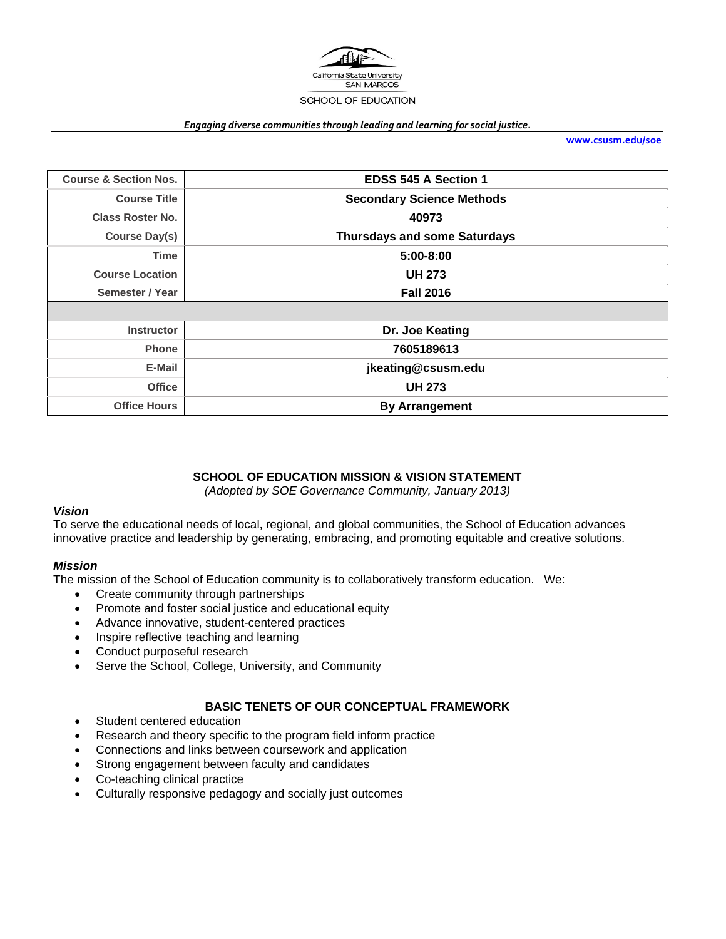

#### *Engaging diverse communities through leading and learning for social justice.*

**www.csusm.edu/soe**

| <b>Course &amp; Section Nos.</b> | <b>EDSS 545 A Section 1</b>         |
|----------------------------------|-------------------------------------|
| <b>Course Title</b>              | <b>Secondary Science Methods</b>    |
| <b>Class Roster No.</b>          | 40973                               |
| <b>Course Day(s)</b>             | <b>Thursdays and some Saturdays</b> |
| <b>Time</b>                      | $5:00 - 8:00$                       |
| <b>Course Location</b>           | <b>UH 273</b>                       |
| Semester / Year                  | <b>Fall 2016</b>                    |
|                                  |                                     |
| <b>Instructor</b>                | Dr. Joe Keating                     |
| <b>Phone</b>                     | 7605189613                          |
| E-Mail                           | jkeating@csusm.edu                  |
| <b>Office</b>                    | <b>UH 273</b>                       |
| <b>Office Hours</b>              | <b>By Arrangement</b>               |

#### **SCHOOL OF EDUCATION MISSION & VISION STATEMENT**

*(Adopted by SOE Governance Community, January 2013)* 

#### *Vision*

To serve the educational needs of local, regional, and global communities, the School of Education advances innovative practice and leadership by generating, embracing, and promoting equitable and creative solutions.

#### *Mission*

The mission of the School of Education community is to collaboratively transform education. We:

- Create community through partnerships
- Promote and foster social justice and educational equity
- Advance innovative, student-centered practices
- Inspire reflective teaching and learning
- Conduct purposeful research
- Serve the School, College, University, and Community

### **BASIC TENETS OF OUR CONCEPTUAL FRAMEWORK**

- Student centered education
- Research and theory specific to the program field inform practice
- Connections and links between coursework and application
- Strong engagement between faculty and candidates
- Co-teaching clinical practice
- Culturally responsive pedagogy and socially just outcomes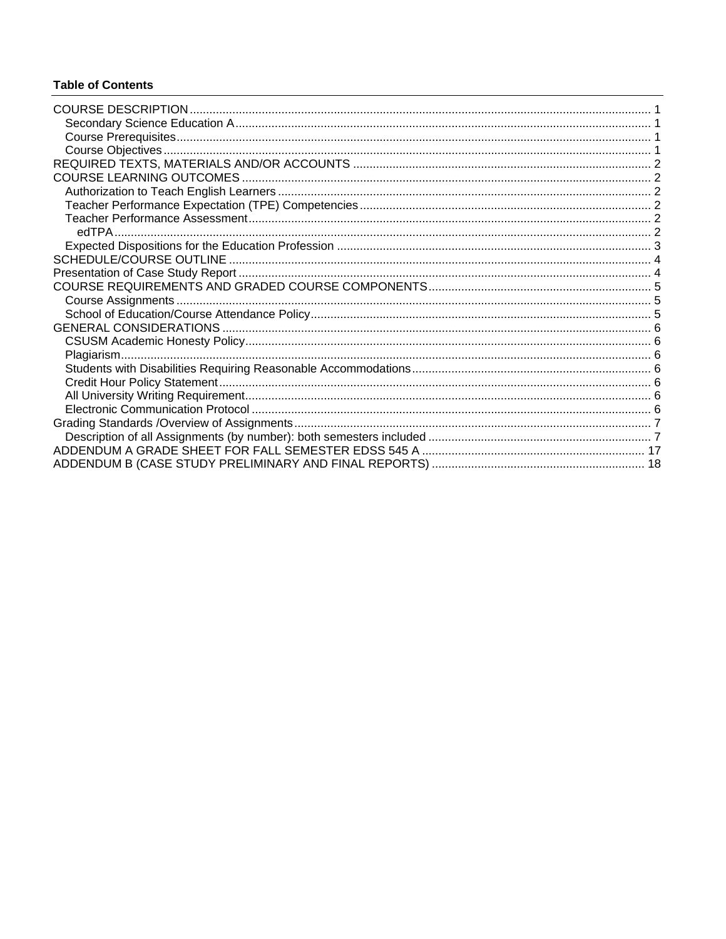# **Table of Contents**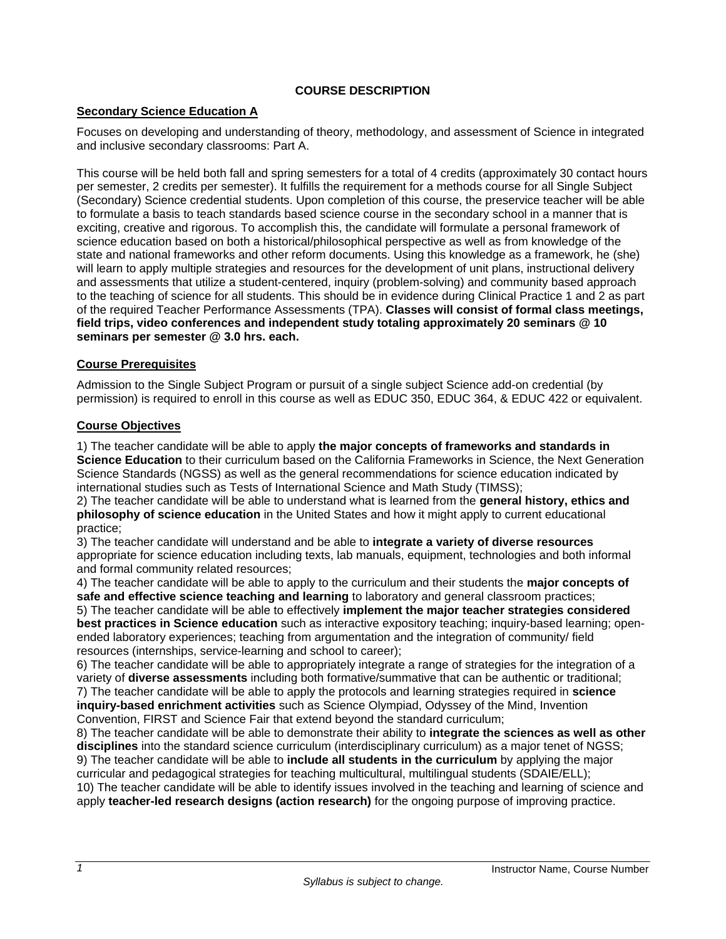# **COURSE DESCRIPTION**

## **Secondary Science Education A**

Focuses on developing and understanding of theory, methodology, and assessment of Science in integrated and inclusive secondary classrooms: Part A.

This course will be held both fall and spring semesters for a total of 4 credits (approximately 30 contact hours per semester, 2 credits per semester). It fulfills the requirement for a methods course for all Single Subject (Secondary) Science credential students. Upon completion of this course, the preservice teacher will be able to formulate a basis to teach standards based science course in the secondary school in a manner that is exciting, creative and rigorous. To accomplish this, the candidate will formulate a personal framework of science education based on both a historical/philosophical perspective as well as from knowledge of the state and national frameworks and other reform documents. Using this knowledge as a framework, he (she) will learn to apply multiple strategies and resources for the development of unit plans, instructional delivery and assessments that utilize a student-centered, inquiry (problem-solving) and community based approach to the teaching of science for all students. This should be in evidence during Clinical Practice 1 and 2 as part of the required Teacher Performance Assessments (TPA). **Classes will consist of formal class meetings, field trips, video conferences and independent study totaling approximately 20 seminars @ 10 seminars per semester @ 3.0 hrs. each.** 

### **Course Prerequisites**

Admission to the Single Subject Program or pursuit of a single subject Science add-on credential (by permission) is required to enroll in this course as well as EDUC 350, EDUC 364, & EDUC 422 or equivalent.

#### **Course Objectives**

1) The teacher candidate will be able to apply **the major concepts of frameworks and standards in Science Education** to their curriculum based on the California Frameworks in Science, the Next Generation Science Standards (NGSS) as well as the general recommendations for science education indicated by international studies such as Tests of International Science and Math Study (TIMSS);

2) The teacher candidate will be able to understand what is learned from the **general history, ethics and philosophy of science education** in the United States and how it might apply to current educational practice;

3) The teacher candidate will understand and be able to **integrate a variety of diverse resources**  appropriate for science education including texts, lab manuals, equipment, technologies and both informal and formal community related resources;

4) The teacher candidate will be able to apply to the curriculum and their students the **major concepts of safe and effective science teaching and learning** to laboratory and general classroom practices;

5) The teacher candidate will be able to effectively **implement the major teacher strategies considered best practices in Science education** such as interactive expository teaching; inquiry-based learning; openended laboratory experiences; teaching from argumentation and the integration of community/ field resources (internships, service-learning and school to career);

6) The teacher candidate will be able to appropriately integrate a range of strategies for the integration of a variety of **diverse assessments** including both formative/summative that can be authentic or traditional; 7) The teacher candidate will be able to apply the protocols and learning strategies required in **science inquiry-based enrichment activities** such as Science Olympiad, Odyssey of the Mind, Invention Convention, FIRST and Science Fair that extend beyond the standard curriculum;

8) The teacher candidate will be able to demonstrate their ability to **integrate the sciences as well as other disciplines** into the standard science curriculum (interdisciplinary curriculum) as a major tenet of NGSS; 9) The teacher candidate will be able to **include all students in the curriculum** by applying the major curricular and pedagogical strategies for teaching multicultural, multilingual students (SDAIE/ELL); 10) The teacher candidate will be able to identify issues involved in the teaching and learning of science and apply **teacher-led research designs (action research)** for the ongoing purpose of improving practice.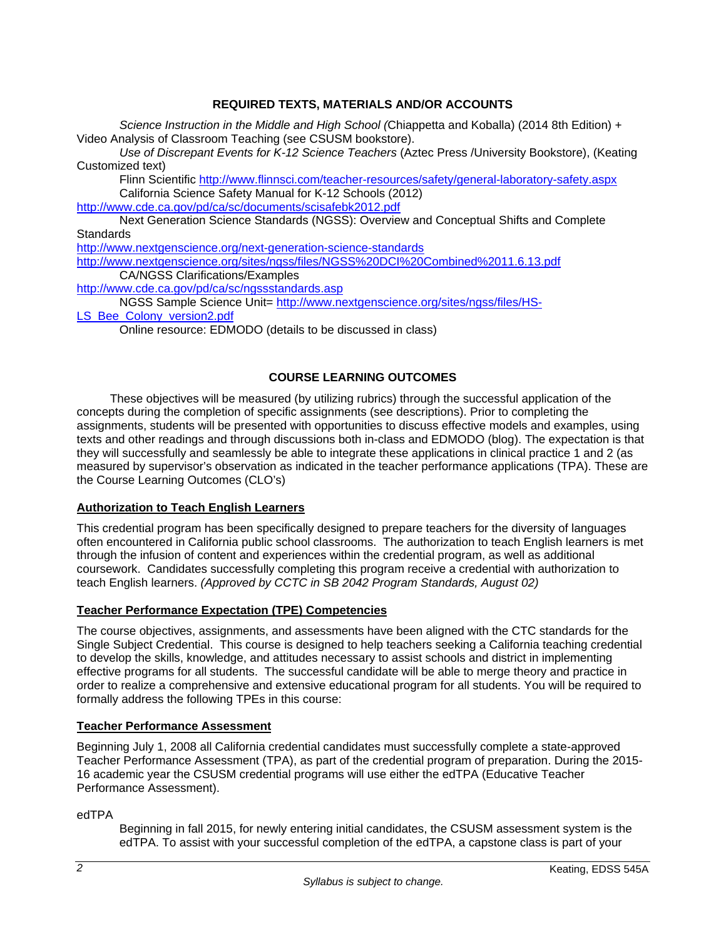# **REQUIRED TEXTS, MATERIALS AND/OR ACCOUNTS**

*Science Instruction in the Middle and High School (*Chiappetta and Koballa) (2014 8th Edition) + Video Analysis of Classroom Teaching (see CSUSM bookstore).

*Use of Discrepant Events for K-12 Science Teachers* (Aztec Press /University Bookstore), (Keating Customized text)

Flinn Scientific http://www.flinnsci.com/teacher-resources/safety/general-laboratory-safety.aspx California Science Safety Manual for K-12 Schools (2012)

http://www.cde.ca.gov/pd/ca/sc/documents/scisafebk2012.pdf

Next Generation Science Standards (NGSS): Overview and Conceptual Shifts and Complete **Standards** 

http://www.nextgenscience.org/next-generation-science-standards

http://www.nextgenscience.org/sites/ngss/files/NGSS%20DCI%20Combined%2011.6.13.pdf CA/NGSS Clarifications/Examples

http://www.cde.ca.gov/pd/ca/sc/ngssstandards.asp

NGSS Sample Science Unit= http://www.nextgenscience.org/sites/ngss/files/HS-

LS\_Bee\_Colony\_version2.pdf

Online resource: EDMODO (details to be discussed in class)

# **COURSE LEARNING OUTCOMES**

These objectives will be measured (by utilizing rubrics) through the successful application of the concepts during the completion of specific assignments (see descriptions). Prior to completing the assignments, students will be presented with opportunities to discuss effective models and examples, using texts and other readings and through discussions both in-class and EDMODO (blog). The expectation is that they will successfully and seamlessly be able to integrate these applications in clinical practice 1 and 2 (as measured by supervisor's observation as indicated in the teacher performance applications (TPA). These are the Course Learning Outcomes (CLO's)

### **Authorization to Teach English Learners**

This credential program has been specifically designed to prepare teachers for the diversity of languages often encountered in California public school classrooms. The authorization to teach English learners is met through the infusion of content and experiences within the credential program, as well as additional coursework. Candidates successfully completing this program receive a credential with authorization to teach English learners. *(Approved by CCTC in SB 2042 Program Standards, August 02)*

### **Teacher Performance Expectation (TPE) Competencies**

The course objectives, assignments, and assessments have been aligned with the CTC standards for the Single Subject Credential. This course is designed to help teachers seeking a California teaching credential to develop the skills, knowledge, and attitudes necessary to assist schools and district in implementing effective programs for all students. The successful candidate will be able to merge theory and practice in order to realize a comprehensive and extensive educational program for all students. You will be required to formally address the following TPEs in this course:

### **Teacher Performance Assessment**

Beginning July 1, 2008 all California credential candidates must successfully complete a state-approved Teacher Performance Assessment (TPA), as part of the credential program of preparation. During the 2015- 16 academic year the CSUSM credential programs will use either the edTPA (Educative Teacher Performance Assessment).

edTPA

Beginning in fall 2015, for newly entering initial candidates, the CSUSM assessment system is the edTPA. To assist with your successful completion of the edTPA, a capstone class is part of your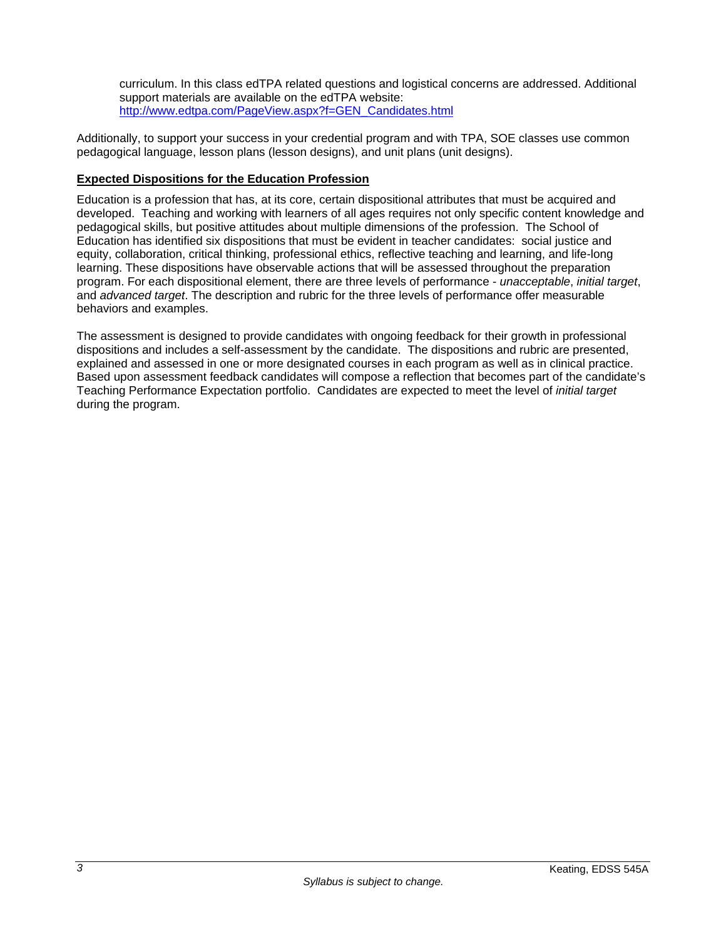curriculum. In this class edTPA related questions and logistical concerns are addressed. Additional support materials are available on the edTPA website: http://www.edtpa.com/PageView.aspx?f=GEN\_Candidates.html

Additionally, to support your success in your credential program and with TPA, SOE classes use common pedagogical language, lesson plans (lesson designs), and unit plans (unit designs).

## **Expected Dispositions for the Education Profession**

Education is a profession that has, at its core, certain dispositional attributes that must be acquired and developed. Teaching and working with learners of all ages requires not only specific content knowledge and pedagogical skills, but positive attitudes about multiple dimensions of the profession. The School of Education has identified six dispositions that must be evident in teacher candidates: social justice and equity, collaboration, critical thinking, professional ethics, reflective teaching and learning, and life-long learning. These dispositions have observable actions that will be assessed throughout the preparation program. For each dispositional element, there are three levels of performance - *unacceptable*, *initial target*, and *advanced target*. The description and rubric for the three levels of performance offer measurable behaviors and examples.

The assessment is designed to provide candidates with ongoing feedback for their growth in professional dispositions and includes a self-assessment by the candidate. The dispositions and rubric are presented, explained and assessed in one or more designated courses in each program as well as in clinical practice. Based upon assessment feedback candidates will compose a reflection that becomes part of the candidate's Teaching Performance Expectation portfolio. Candidates are expected to meet the level of *initial target* during the program.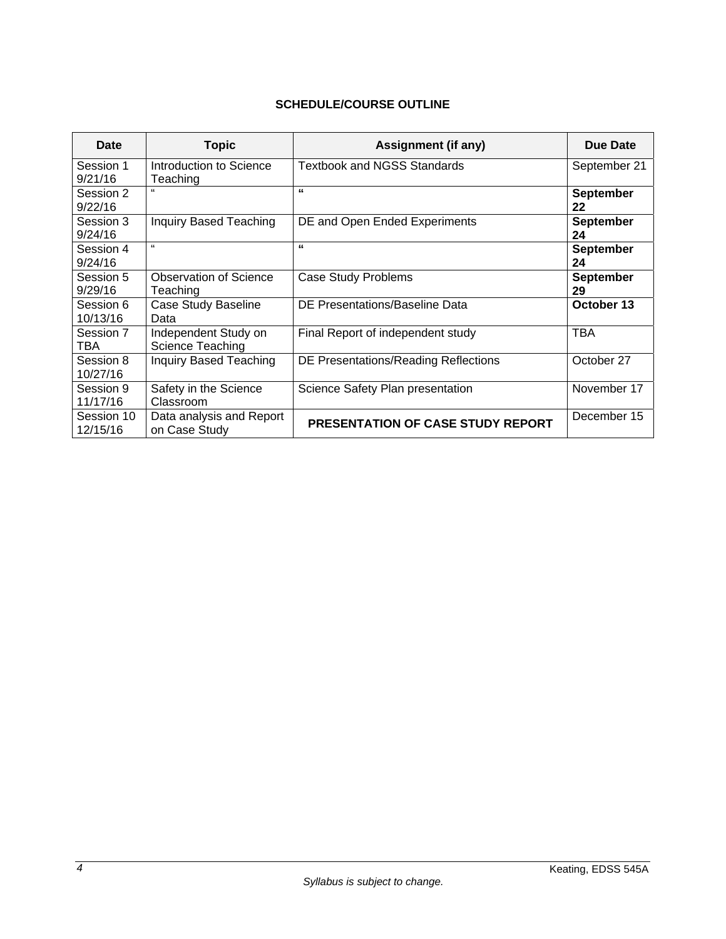# **SCHEDULE/COURSE OUTLINE**

| Date                   | <b>Topic</b>                              | Assignment (if any)                      | Due Date               |
|------------------------|-------------------------------------------|------------------------------------------|------------------------|
| Session 1<br>9/21/16   | Introduction to Science<br>Teaching       | <b>Textbook and NGSS Standards</b>       | September 21           |
| Session 2<br>9/22/16   | 66                                        | "                                        | <b>September</b><br>22 |
| Session 3<br>9/24/16   | <b>Inquiry Based Teaching</b>             | DE and Open Ended Experiments            | September<br>24        |
| Session 4<br>9/24/16   | "                                         | "                                        | September<br>24        |
| Session 5<br>9/29/16   | <b>Observation of Science</b><br>Teaching | <b>Case Study Problems</b>               | <b>September</b><br>29 |
| Session 6<br>10/13/16  | Case Study Baseline<br>Data               | DE Presentations/Baseline Data           | October 13             |
| Session 7<br>TBA       | Independent Study on<br>Science Teaching  | Final Report of independent study        | TBA                    |
| Session 8<br>10/27/16  | <b>Inquiry Based Teaching</b>             | DE Presentations/Reading Reflections     | October 27             |
| Session 9<br>11/17/16  | Safety in the Science<br>Classroom        | Science Safety Plan presentation         | November 17            |
| Session 10<br>12/15/16 | Data analysis and Report<br>on Case Study | <b>PRESENTATION OF CASE STUDY REPORT</b> | December 15            |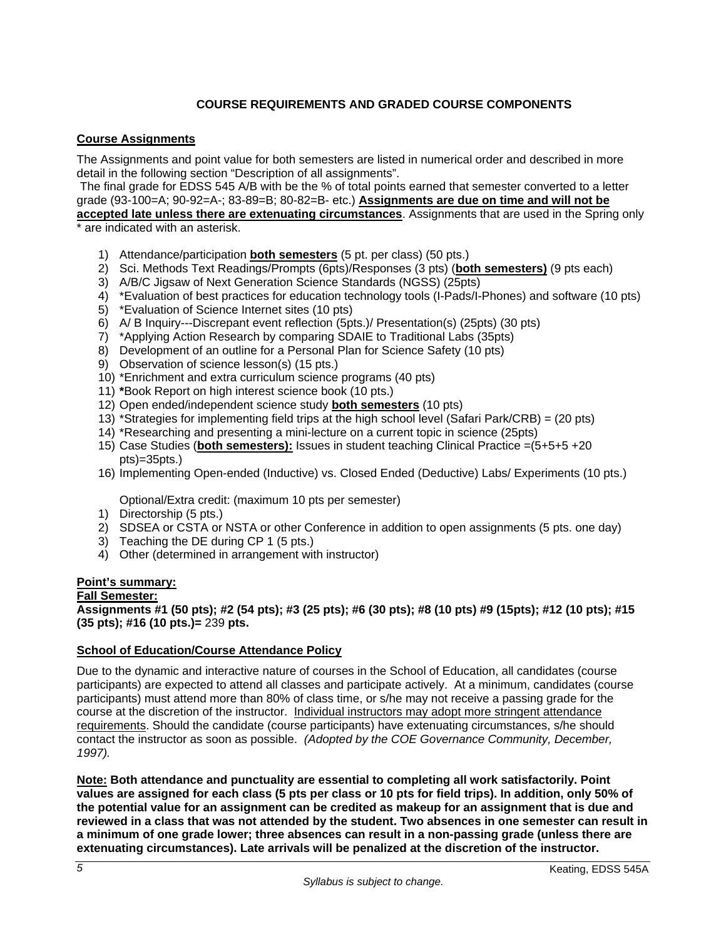# **COURSE REQUIREMENTS AND GRADED COURSE COMPONENTS**

#### **Course Assignments**

The Assignments and point value for both semesters are listed in numerical order and described in more detail in the following section "Description of all assignments".

 The final grade for EDSS 545 A/B with be the % of total points earned that semester converted to a letter grade (93-100=A; 90-92=A-; 83-89=B; 80-82=B- etc.) **Assignments are due on time and will not be** 

**accepted late unless there are extenuating circumstances**. Assignments that are used in the Spring only \* are indicated with an asterisk.

- 1) Attendance/participation **both semesters** (5 pt. per class) (50 pts.)
- 2) Sci. Methods Text Readings/Prompts (6pts)/Responses (3 pts) (**both semesters)** (9 pts each)
- 3) A/B/C Jigsaw of Next Generation Science Standards (NGSS) (25pts)
- 4) \*Evaluation of best practices for education technology tools (I-Pads/I-Phones) and software (10 pts)
- 5) \*Evaluation of Science Internet sites (10 pts)
- 6) A/ B Inquiry---Discrepant event reflection (5pts.)/ Presentation(s) (25pts) (30 pts)
- 7) \*Applying Action Research by comparing SDAIE to Traditional Labs (35pts)
- 8) Development of an outline for a Personal Plan for Science Safety (10 pts)
- 9) Observation of science lesson(s) (15 pts.)
- 10) \*Enrichment and extra curriculum science programs (40 pts)
- 11) **\***Book Report on high interest science book (10 pts.)
- 12) Open ended/independent science study **both semesters** (10 pts)
- 13) \*Strategies for implementing field trips at the high school level (Safari Park/CRB) = (20 pts)
- 14) \*Researching and presenting a mini-lecture on a current topic in science (25pts)
- 15) Case Studies (**both semesters):** Issues in student teaching Clinical Practice =(5+5+5 +20 pts)=35pts.)
- 16) Implementing Open-ended (Inductive) vs. Closed Ended (Deductive) Labs/ Experiments (10 pts.)

Optional/Extra credit: (maximum 10 pts per semester)

- 1) Directorship (5 pts.)
- 2) SDSEA or CSTA or NSTA or other Conference in addition to open assignments (5 pts. one day)
- 3) Teaching the DE during CP 1 (5 pts.)
- 4) Other (determined in arrangement with instructor)

#### **Point's summary:**

#### **Fall Semester:**

**Assignments #1 (50 pts); #2 (54 pts); #3 (25 pts); #6 (30 pts); #8 (10 pts) #9 (15pts); #12 (10 pts); #15 (35 pts); #16 (10 pts.)=** 239 **pts.** 

#### **School of Education/Course Attendance Policy**

Due to the dynamic and interactive nature of courses in the School of Education, all candidates (course participants) are expected to attend all classes and participate actively. At a minimum, candidates (course participants) must attend more than 80% of class time, or s/he may not receive a passing grade for the course at the discretion of the instructor. Individual instructors may adopt more stringent attendance requirements. Should the candidate (course participants) have extenuating circumstances, s/he should contact the instructor as soon as possible. *(Adopted by the COE Governance Community, December, 1997).*

**Note: Both attendance and punctuality are essential to completing all work satisfactorily. Point values are assigned for each class (5 pts per class or 10 pts for field trips). In addition, only 50% of the potential value for an assignment can be credited as makeup for an assignment that is due and reviewed in a class that was not attended by the student. Two absences in one semester can result in a minimum of one grade lower; three absences can result in a non-passing grade (unless there are extenuating circumstances). Late arrivals will be penalized at the discretion of the instructor.**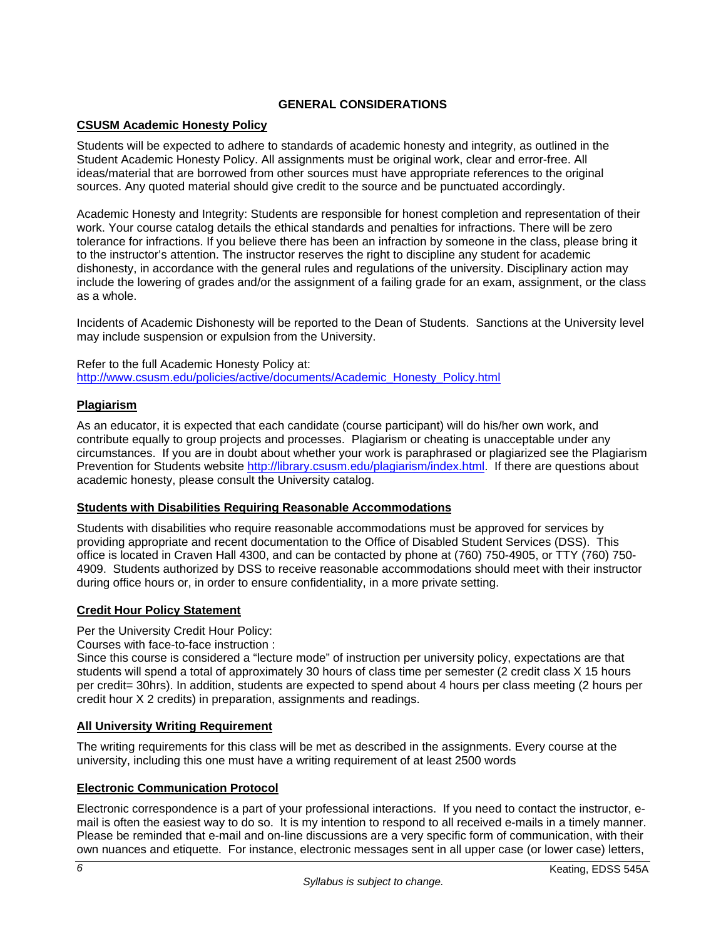# **GENERAL CONSIDERATIONS**

## **CSUSM Academic Honesty Policy**

Students will be expected to adhere to standards of academic honesty and integrity, as outlined in the Student Academic Honesty Policy. All assignments must be original work, clear and error-free. All ideas/material that are borrowed from other sources must have appropriate references to the original sources. Any quoted material should give credit to the source and be punctuated accordingly.

Academic Honesty and Integrity: Students are responsible for honest completion and representation of their work. Your course catalog details the ethical standards and penalties for infractions. There will be zero tolerance for infractions. If you believe there has been an infraction by someone in the class, please bring it to the instructor's attention. The instructor reserves the right to discipline any student for academic dishonesty, in accordance with the general rules and regulations of the university. Disciplinary action may include the lowering of grades and/or the assignment of a failing grade for an exam, assignment, or the class as a whole.

Incidents of Academic Dishonesty will be reported to the Dean of Students. Sanctions at the University level may include suspension or expulsion from the University.

Refer to the full Academic Honesty Policy at: http://www.csusm.edu/policies/active/documents/Academic\_Honesty\_Policy.html

### **Plagiarism**

As an educator, it is expected that each candidate (course participant) will do his/her own work, and contribute equally to group projects and processes. Plagiarism or cheating is unacceptable under any circumstances. If you are in doubt about whether your work is paraphrased or plagiarized see the Plagiarism Prevention for Students website http://library.csusm.edu/plagiarism/index.html. If there are questions about academic honesty, please consult the University catalog.

### **Students with Disabilities Requiring Reasonable Accommodations**

Students with disabilities who require reasonable accommodations must be approved for services by providing appropriate and recent documentation to the Office of Disabled Student Services (DSS). This office is located in Craven Hall 4300, and can be contacted by phone at (760) 750-4905, or TTY (760) 750- 4909. Students authorized by DSS to receive reasonable accommodations should meet with their instructor during office hours or, in order to ensure confidentiality, in a more private setting.

### **Credit Hour Policy Statement**

Per the University Credit Hour Policy:

Courses with face-to-face instruction :

Since this course is considered a "lecture mode" of instruction per university policy, expectations are that students will spend a total of approximately 30 hours of class time per semester (2 credit class X 15 hours per credit= 30hrs). In addition, students are expected to spend about 4 hours per class meeting (2 hours per credit hour X 2 credits) in preparation, assignments and readings.

### **All University Writing Requirement**

The writing requirements for this class will be met as described in the assignments. Every course at the university, including this one must have a writing requirement of at least 2500 words

### **Electronic Communication Protocol**

Electronic correspondence is a part of your professional interactions. If you need to contact the instructor, email is often the easiest way to do so. It is my intention to respond to all received e-mails in a timely manner. Please be reminded that e-mail and on-line discussions are a very specific form of communication, with their own nuances and etiquette. For instance, electronic messages sent in all upper case (or lower case) letters,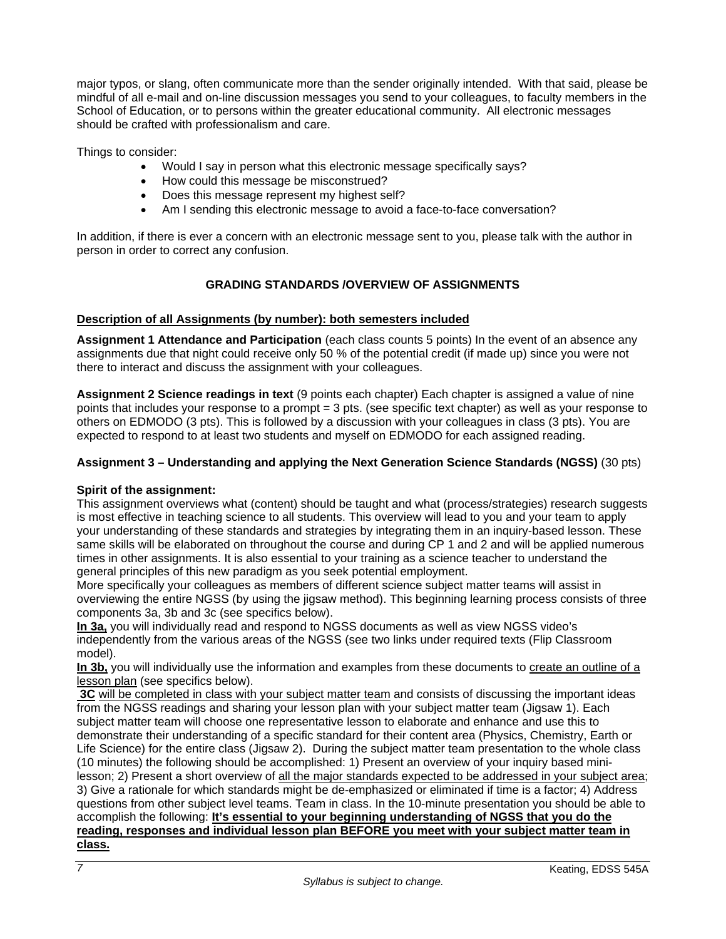major typos, or slang, often communicate more than the sender originally intended. With that said, please be mindful of all e-mail and on-line discussion messages you send to your colleagues, to faculty members in the School of Education, or to persons within the greater educational community. All electronic messages should be crafted with professionalism and care.

Things to consider:

- Would I say in person what this electronic message specifically says?
- How could this message be misconstrued?
- Does this message represent my highest self?
- Am I sending this electronic message to avoid a face-to-face conversation?

In addition, if there is ever a concern with an electronic message sent to you, please talk with the author in person in order to correct any confusion.

### **GRADING STANDARDS /OVERVIEW OF ASSIGNMENTS**

#### **Description of all Assignments (by number): both semesters included**

**Assignment 1 Attendance and Participation** (each class counts 5 points) In the event of an absence any assignments due that night could receive only 50 % of the potential credit (if made up) since you were not there to interact and discuss the assignment with your colleagues.

**Assignment 2 Science readings in text** (9 points each chapter) Each chapter is assigned a value of nine points that includes your response to a prompt = 3 pts. (see specific text chapter) as well as your response to others on EDMODO (3 pts). This is followed by a discussion with your colleagues in class (3 pts). You are expected to respond to at least two students and myself on EDMODO for each assigned reading.

#### **Assignment 3 – Understanding and applying the Next Generation Science Standards (NGSS)** (30 pts)

#### **Spirit of the assignment:**

This assignment overviews what (content) should be taught and what (process/strategies) research suggests is most effective in teaching science to all students. This overview will lead to you and your team to apply your understanding of these standards and strategies by integrating them in an inquiry-based lesson. These same skills will be elaborated on throughout the course and during CP 1 and 2 and will be applied numerous times in other assignments. It is also essential to your training as a science teacher to understand the general principles of this new paradigm as you seek potential employment.

More specifically your colleagues as members of different science subject matter teams will assist in overviewing the entire NGSS (by using the jigsaw method). This beginning learning process consists of three components 3a, 3b and 3c (see specifics below).

**In 3a,** you will individually read and respond to NGSS documents as well as view NGSS video's independently from the various areas of the NGSS (see two links under required texts (Flip Classroom model).

**In 3b,** you will individually use the information and examples from these documents to create an outline of a lesson plan (see specifics below).

**3C** will be completed in class with your subject matter team and consists of discussing the important ideas from the NGSS readings and sharing your lesson plan with your subject matter team (Jigsaw 1). Each subject matter team will choose one representative lesson to elaborate and enhance and use this to demonstrate their understanding of a specific standard for their content area (Physics, Chemistry, Earth or Life Science) for the entire class (Jigsaw 2). During the subject matter team presentation to the whole class (10 minutes) the following should be accomplished: 1) Present an overview of your inquiry based minilesson; 2) Present a short overview of all the major standards expected to be addressed in your subject area; 3) Give a rationale for which standards might be de-emphasized or eliminated if time is a factor; 4) Address questions from other subject level teams. Team in class. In the 10-minute presentation you should be able to accomplish the following: **It's essential to your beginning understanding of NGSS that you do the reading, responses and individual lesson plan BEFORE you meet with your subject matter team in class.**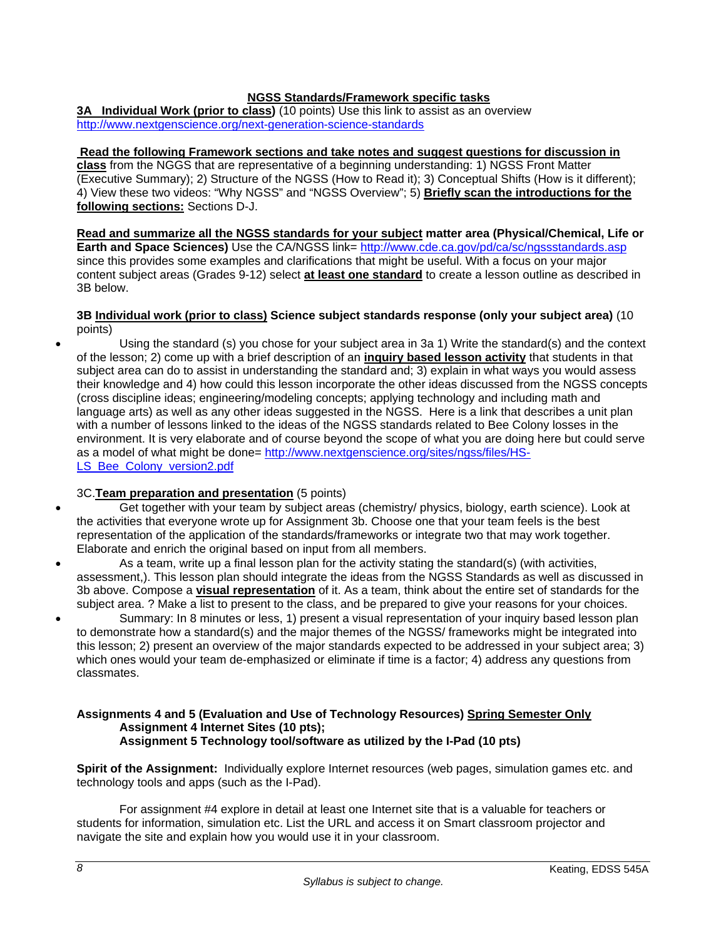### **NGSS Standards/Framework specific tasks**

**3A Individual Work (prior to class)** (10 points) Use this link to assist as an overview http://www.nextgenscience.org/next-generation-science-standards

#### **Read the following Framework sections and take notes and suggest questions for discussion in**

**class** from the NGGS that are representative of a beginning understanding: 1) NGSS Front Matter (Executive Summary); 2) Structure of the NGSS (How to Read it); 3) Conceptual Shifts (How is it different); 4) View these two videos: "Why NGSS" and "NGSS Overview"; 5) **Briefly scan the introductions for the following sections:** Sections D-J.

# **Read and summarize all the NGSS standards for your subject matter area (Physical/Chemical, Life or**

**Earth and Space Sciences)** Use the CA/NGSS link= http://www.cde.ca.gov/pd/ca/sc/ngssstandards.asp since this provides some examples and clarifications that might be useful. With a focus on your major content subject areas (Grades 9-12) select **at least one standard** to create a lesson outline as described in 3B below.

#### **3B Individual work (prior to class) Science subject standards response (only your subject area)** (10 points)

 Using the standard (s) you chose for your subject area in 3a 1) Write the standard(s) and the context of the lesson; 2) come up with a brief description of an **inquiry based lesson activity** that students in that subject area can do to assist in understanding the standard and; 3) explain in what ways you would assess their knowledge and 4) how could this lesson incorporate the other ideas discussed from the NGSS concepts (cross discipline ideas; engineering/modeling concepts; applying technology and including math and language arts) as well as any other ideas suggested in the NGSS. Here is a link that describes a unit plan with a number of lessons linked to the ideas of the NGSS standards related to Bee Colony losses in the environment. It is very elaborate and of course beyond the scope of what you are doing here but could serve as a model of what might be done= http://www.nextgenscience.org/sites/ngss/files/HS-LS\_Bee\_Colony\_version2.pdf

### 3C.**Team preparation and presentation** (5 points)

- Get together with your team by subject areas (chemistry/ physics, biology, earth science). Look at the activities that everyone wrote up for Assignment 3b. Choose one that your team feels is the best representation of the application of the standards/frameworks or integrate two that may work together. Elaborate and enrich the original based on input from all members.
- As a team, write up a final lesson plan for the activity stating the standard(s) (with activities, assessment,). This lesson plan should integrate the ideas from the NGSS Standards as well as discussed in 3b above. Compose a **visual representation** of it. As a team, think about the entire set of standards for the subject area. ? Make a list to present to the class, and be prepared to give your reasons for your choices.
- Summary: In 8 minutes or less, 1) present a visual representation of your inquiry based lesson plan to demonstrate how a standard(s) and the major themes of the NGSS/ frameworks might be integrated into this lesson; 2) present an overview of the major standards expected to be addressed in your subject area; 3) which ones would your team de-emphasized or eliminate if time is a factor; 4) address any questions from classmates.

#### **Assignments 4 and 5 (Evaluation and Use of Technology Resources) Spring Semester Only Assignment 4 Internet Sites (10 pts); Assignment 5 Technology tool/software as utilized by the I-Pad (10 pts)**

**Spirit of the Assignment:** Individually explore Internet resources (web pages, simulation games etc. and technology tools and apps (such as the I-Pad).

For assignment #4 explore in detail at least one Internet site that is a valuable for teachers or students for information, simulation etc. List the URL and access it on Smart classroom projector and navigate the site and explain how you would use it in your classroom.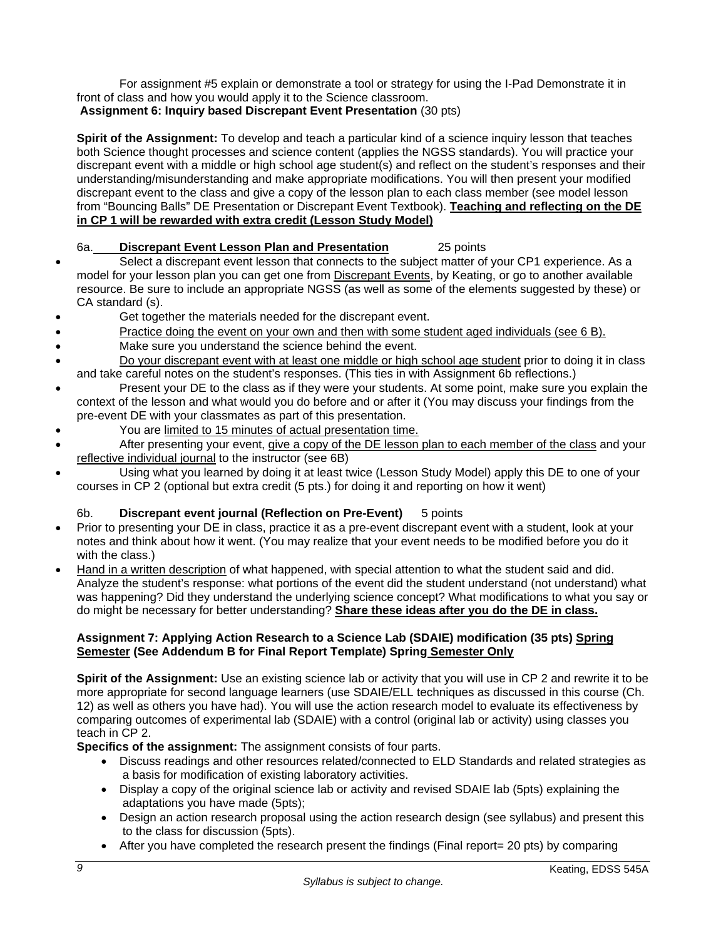For assignment #5 explain or demonstrate a tool or strategy for using the I-Pad Demonstrate it in front of class and how you would apply it to the Science classroom.

 **Assignment 6: Inquiry based Discrepant Event Presentation** (30 pts)

**Spirit of the Assignment:** To develop and teach a particular kind of a science inquiry lesson that teaches both Science thought processes and science content (applies the NGSS standards). You will practice your discrepant event with a middle or high school age student(s) and reflect on the student's responses and their understanding/misunderstanding and make appropriate modifications. You will then present your modified discrepant event to the class and give a copy of the lesson plan to each class member (see model lesson from "Bouncing Balls" DE Presentation or Discrepant Event Textbook). **Teaching and reflecting on the DE in CP 1 will be rewarded with extra credit (Lesson Study Model)**

# 6a. **Discrepant Event Lesson Plan and Presentation** 25 points

- Select a discrepant event lesson that connects to the subject matter of your CP1 experience. As a model for your lesson plan you can get one from Discrepant Events, by Keating, or go to another available resource. Be sure to include an appropriate NGSS (as well as some of the elements suggested by these) or CA standard (s).
- Get together the materials needed for the discrepant event.
- Practice doing the event on your own and then with some student aged individuals (see 6 B).
- Make sure you understand the science behind the event.
- Do your discrepant event with at least one middle or high school age student prior to doing it in class and take careful notes on the student's responses. (This ties in with Assignment 6b reflections.)
- Present your DE to the class as if they were your students. At some point, make sure you explain the context of the lesson and what would you do before and or after it (You may discuss your findings from the pre-event DE with your classmates as part of this presentation.
- You are limited to 15 minutes of actual presentation time.
- After presenting your event, give a copy of the DE lesson plan to each member of the class and your reflective individual journal to the instructor (see 6B)
- Using what you learned by doing it at least twice (Lesson Study Model) apply this DE to one of your courses in CP 2 (optional but extra credit (5 pts.) for doing it and reporting on how it went)

# 6b. **Discrepant event journal (Reflection on Pre-Event)** 5 points

- Prior to presenting your DE in class, practice it as a pre-event discrepant event with a student, look at your notes and think about how it went. (You may realize that your event needs to be modified before you do it with the class.)
- Hand in a written description of what happened, with special attention to what the student said and did. Analyze the student's response: what portions of the event did the student understand (not understand) what was happening? Did they understand the underlying science concept? What modifications to what you say or do might be necessary for better understanding? **Share these ideas after you do the DE in class.**

### **Assignment 7: Applying Action Research to a Science Lab (SDAIE) modification (35 pts) Spring Semester (See Addendum B for Final Report Template) Spring Semester Only**

**Spirit of the Assignment:** Use an existing science lab or activity that you will use in CP 2 and rewrite it to be more appropriate for second language learners (use SDAIE/ELL techniques as discussed in this course (Ch. 12) as well as others you have had). You will use the action research model to evaluate its effectiveness by comparing outcomes of experimental lab (SDAIE) with a control (original lab or activity) using classes you teach in CP 2.

**Specifics of the assignment:** The assignment consists of four parts.

- Discuss readings and other resources related/connected to ELD Standards and related strategies as a basis for modification of existing laboratory activities.
- Display a copy of the original science lab or activity and revised SDAIE lab (5pts) explaining the adaptations you have made (5pts);
- Design an action research proposal using the action research design (see syllabus) and present this to the class for discussion (5pts).
- $\bullet$  After you have completed the research present the findings (Final report= 20 pts) by comparing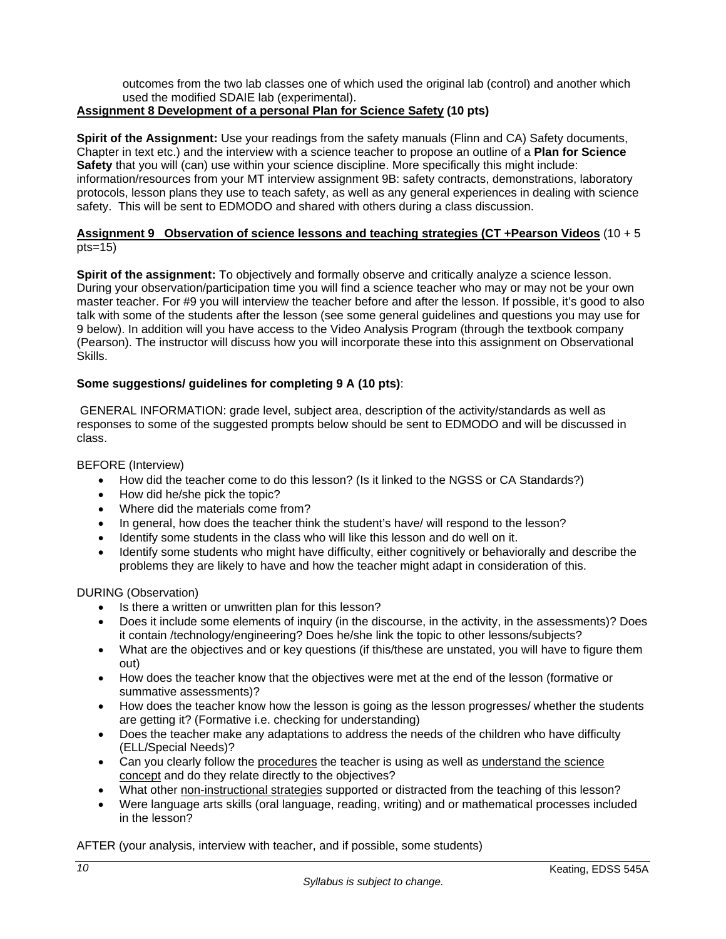outcomes from the two lab classes one of which used the original lab (control) and another which used the modified SDAIE lab (experimental).

# **Assignment 8 Development of a personal Plan for Science Safety (10 pts)**

**Spirit of the Assignment:** Use your readings from the safety manuals (Flinn and CA) Safety documents, Chapter in text etc.) and the interview with a science teacher to propose an outline of a **Plan for Science Safety** that you will (can) use within your science discipline. More specifically this might include: information/resources from your MT interview assignment 9B: safety contracts, demonstrations, laboratory protocols, lesson plans they use to teach safety, as well as any general experiences in dealing with science safety. This will be sent to EDMODO and shared with others during a class discussion.

#### **Assignment 9 Observation of science lessons and teaching strategies (CT +Pearson Videos** (10 + 5 pts=15)

**Spirit of the assignment:** To objectively and formally observe and critically analyze a science lesson. During your observation/participation time you will find a science teacher who may or may not be your own master teacher. For #9 you will interview the teacher before and after the lesson. If possible, it's good to also talk with some of the students after the lesson (see some general guidelines and questions you may use for 9 below). In addition will you have access to the Video Analysis Program (through the textbook company (Pearson). The instructor will discuss how you will incorporate these into this assignment on Observational Skills.

### **Some suggestions/ guidelines for completing 9 A (10 pts)**:

 GENERAL INFORMATION: grade level, subject area, description of the activity/standards as well as responses to some of the suggested prompts below should be sent to EDMODO and will be discussed in class.

#### BEFORE (Interview)

- How did the teacher come to do this lesson? (Is it linked to the NGSS or CA Standards?)
- How did he/she pick the topic?
- Where did the materials come from?
- In general, how does the teacher think the student's have/ will respond to the lesson?
- Identify some students in the class who will like this lesson and do well on it.
- Identify some students who might have difficulty, either cognitively or behaviorally and describe the problems they are likely to have and how the teacher might adapt in consideration of this.

DURING (Observation)

- Is there a written or unwritten plan for this lesson?
- Does it include some elements of inquiry (in the discourse, in the activity, in the assessments)? Does it contain /technology/engineering? Does he/she link the topic to other lessons/subjects?
- What are the objectives and or key questions (if this/these are unstated, you will have to figure them out)
- How does the teacher know that the objectives were met at the end of the lesson (formative or summative assessments)?
- How does the teacher know how the lesson is going as the lesson progresses/ whether the students are getting it? (Formative i.e. checking for understanding)
- Does the teacher make any adaptations to address the needs of the children who have difficulty (ELL/Special Needs)?
- Can you clearly follow the procedures the teacher is using as well as understand the science concept and do they relate directly to the objectives?
- What other non-instructional strategies supported or distracted from the teaching of this lesson?
- Were language arts skills (oral language, reading, writing) and or mathematical processes included in the lesson?

AFTER (your analysis, interview with teacher, and if possible, some students)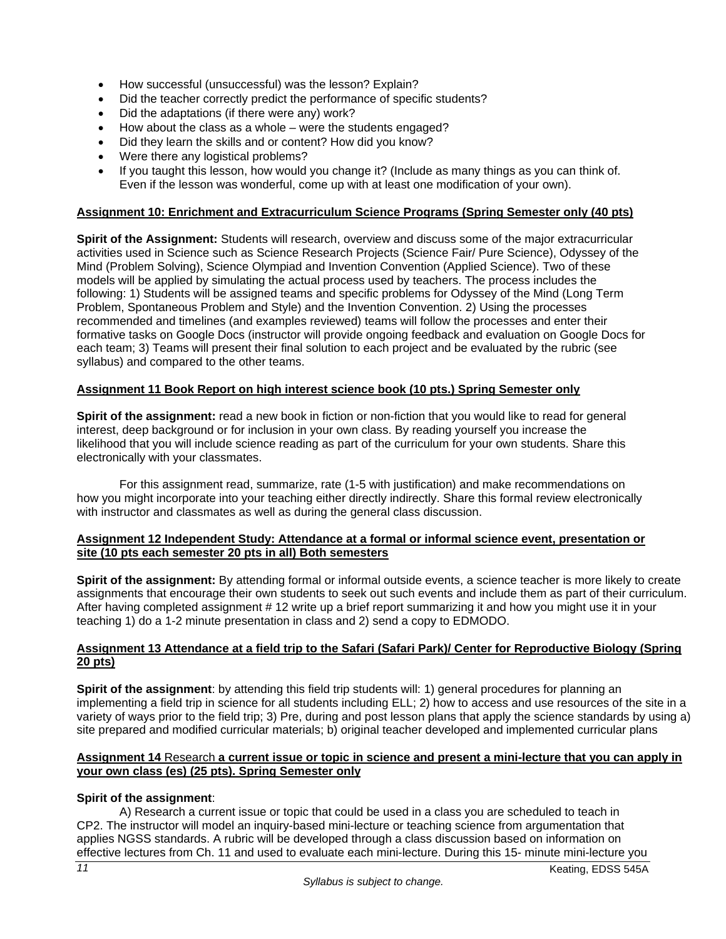- How successful (unsuccessful) was the lesson? Explain?
- Did the teacher correctly predict the performance of specific students?
- Did the adaptations (if there were any) work?
- How about the class as a whole were the students engaged?
- Did they learn the skills and or content? How did you know?
- Were there any logistical problems?
- If you taught this lesson, how would you change it? (Include as many things as you can think of. Even if the lesson was wonderful, come up with at least one modification of your own).

## **Assignment 10: Enrichment and Extracurriculum Science Programs (Spring Semester only (40 pts)**

**Spirit of the Assignment:** Students will research, overview and discuss some of the major extracurricular activities used in Science such as Science Research Projects (Science Fair/ Pure Science), Odyssey of the Mind (Problem Solving), Science Olympiad and Invention Convention (Applied Science). Two of these models will be applied by simulating the actual process used by teachers. The process includes the following: 1) Students will be assigned teams and specific problems for Odyssey of the Mind (Long Term Problem, Spontaneous Problem and Style) and the Invention Convention. 2) Using the processes recommended and timelines (and examples reviewed) teams will follow the processes and enter their formative tasks on Google Docs (instructor will provide ongoing feedback and evaluation on Google Docs for each team; 3) Teams will present their final solution to each project and be evaluated by the rubric (see syllabus) and compared to the other teams.

# **Assignment 11 Book Report on high interest science book (10 pts.) Spring Semester only**

**Spirit of the assignment:** read a new book in fiction or non-fiction that you would like to read for general interest, deep background or for inclusion in your own class. By reading yourself you increase the likelihood that you will include science reading as part of the curriculum for your own students. Share this electronically with your classmates.

 For this assignment read, summarize, rate (1-5 with justification) and make recommendations on how you might incorporate into your teaching either directly indirectly. Share this formal review electronically with instructor and classmates as well as during the general class discussion.

#### **Assignment 12 Independent Study: Attendance at a formal or informal science event, presentation or site (10 pts each semester 20 pts in all) Both semesters**

**Spirit of the assignment:** By attending formal or informal outside events, a science teacher is more likely to create assignments that encourage their own students to seek out such events and include them as part of their curriculum. After having completed assignment # 12 write up a brief report summarizing it and how you might use it in your teaching 1) do a 1-2 minute presentation in class and 2) send a copy to EDMODO.

### **Assignment 13 Attendance at a field trip to the Safari (Safari Park)/ Center for Reproductive Biology (Spring 20 pts)**

**Spirit of the assignment**: by attending this field trip students will: 1) general procedures for planning an implementing a field trip in science for all students including ELL; 2) how to access and use resources of the site in a variety of ways prior to the field trip; 3) Pre, during and post lesson plans that apply the science standards by using a) site prepared and modified curricular materials; b) original teacher developed and implemented curricular plans

### **Assignment 14** Research **a current issue or topic in science and present a mini-lecture that you can apply in your own class (es) (25 pts). Spring Semester only**

### **Spirit of the assignment**:

A) Research a current issue or topic that could be used in a class you are scheduled to teach in CP2. The instructor will model an inquiry-based mini-lecture or teaching science from argumentation that applies NGSS standards. A rubric will be developed through a class discussion based on information on effective lectures from Ch. 11 and used to evaluate each mini-lecture. During this 15- minute mini-lecture you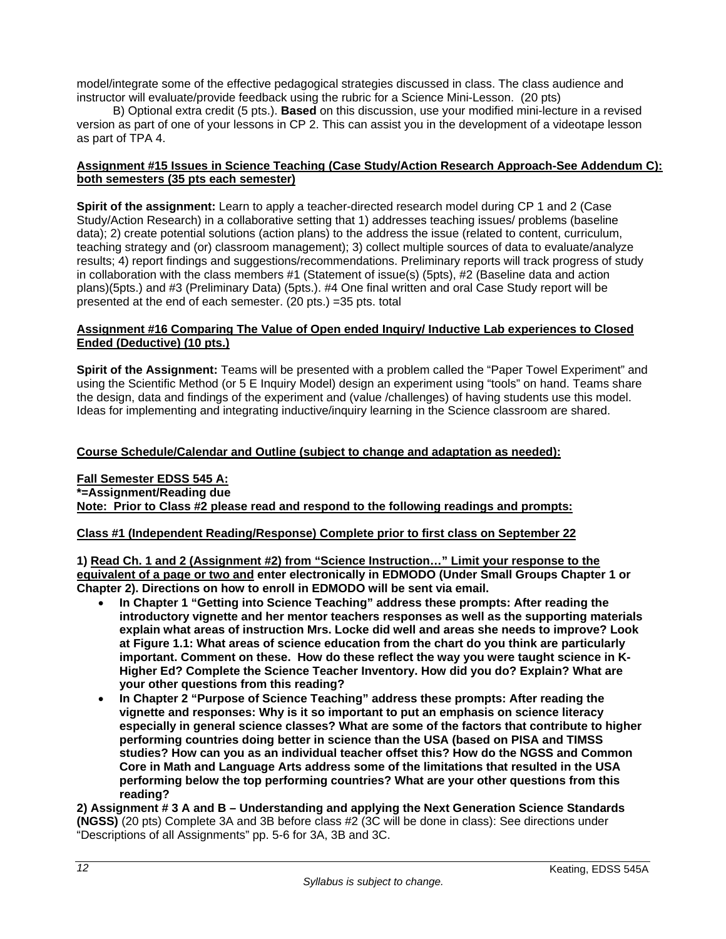model/integrate some of the effective pedagogical strategies discussed in class. The class audience and instructor will evaluate/provide feedback using the rubric for a Science Mini-Lesson. (20 pts)

 B) Optional extra credit (5 pts.). **Based** on this discussion, use your modified mini-lecture in a revised version as part of one of your lessons in CP 2. This can assist you in the development of a videotape lesson as part of TPA 4.

#### **Assignment #15 Issues in Science Teaching (Case Study/Action Research Approach-See Addendum C): both semesters (35 pts each semester)**

**Spirit of the assignment:** Learn to apply a teacher-directed research model during CP 1 and 2 (Case Study/Action Research) in a collaborative setting that 1) addresses teaching issues/ problems (baseline data); 2) create potential solutions (action plans) to the address the issue (related to content, curriculum, teaching strategy and (or) classroom management); 3) collect multiple sources of data to evaluate/analyze results; 4) report findings and suggestions/recommendations. Preliminary reports will track progress of study in collaboration with the class members #1 (Statement of issue(s) (5pts), #2 (Baseline data and action plans)(5pts.) and #3 (Preliminary Data) (5pts.). #4 One final written and oral Case Study report will be presented at the end of each semester. (20 pts.) =35 pts. total

#### **Assignment #16 Comparing The Value of Open ended Inquiry/ Inductive Lab experiences to Closed Ended (Deductive) (10 pts.)**

**Spirit of the Assignment:** Teams will be presented with a problem called the "Paper Towel Experiment" and using the Scientific Method (or 5 E Inquiry Model) design an experiment using "tools" on hand. Teams share the design, data and findings of the experiment and (value /challenges) of having students use this model. Ideas for implementing and integrating inductive/inquiry learning in the Science classroom are shared.

### **Course Schedule/Calendar and Outline (subject to change and adaptation as needed):**

**Fall Semester EDSS 545 A: \*=Assignment/Reading due Note: Prior to Class #2 please read and respond to the following readings and prompts:** 

### **Class #1 (Independent Reading/Response) Complete prior to first class on September 22**

**1) Read Ch. 1 and 2 (Assignment #2) from "Science Instruction…" Limit your response to the equivalent of a page or two and enter electronically in EDMODO (Under Small Groups Chapter 1 or Chapter 2). Directions on how to enroll in EDMODO will be sent via email.** 

- **In Chapter 1 "Getting into Science Teaching" address these prompts: After reading the introductory vignette and her mentor teachers responses as well as the supporting materials explain what areas of instruction Mrs. Locke did well and areas she needs to improve? Look at Figure 1.1: What areas of science education from the chart do you think are particularly important. Comment on these. How do these reflect the way you were taught science in K-Higher Ed? Complete the Science Teacher Inventory. How did you do? Explain? What are your other questions from this reading?**
- **In Chapter 2 "Purpose of Science Teaching" address these prompts: After reading the vignette and responses: Why is it so important to put an emphasis on science literacy especially in general science classes? What are some of the factors that contribute to higher performing countries doing better in science than the USA (based on PISA and TIMSS studies? How can you as an individual teacher offset this? How do the NGSS and Common Core in Math and Language Arts address some of the limitations that resulted in the USA performing below the top performing countries? What are your other questions from this reading?**

**2) Assignment # 3 A and B – Understanding and applying the Next Generation Science Standards (NGSS)** (20 pts) Complete 3A and 3B before class #2 (3C will be done in class): See directions under "Descriptions of all Assignments" pp. 5-6 for 3A, 3B and 3C.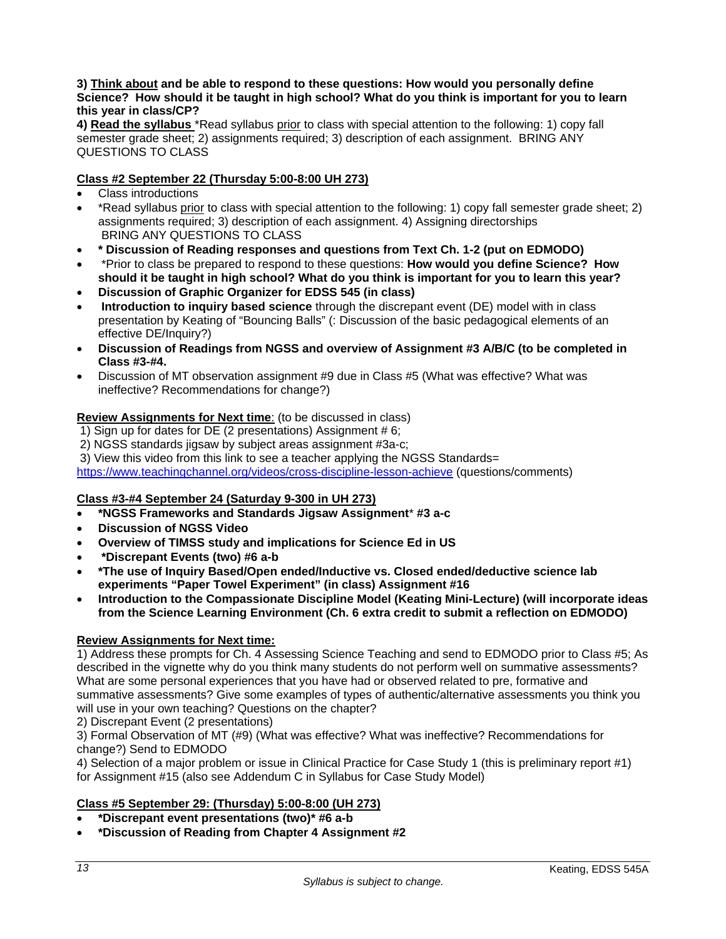#### **3) Think about and be able to respond to these questions: How would you personally define Science? How should it be taught in high school? What do you think is important for you to learn this year in class/CP?**

**4) Read the syllabus** \*Read syllabus prior to class with special attention to the following: 1) copy fall semester grade sheet; 2) assignments required; 3) description of each assignment. BRING ANY QUESTIONS TO CLASS

# **Class #2 September 22 (Thursday 5:00-8:00 UH 273)**

- Class introductions
- \*Read syllabus prior to class with special attention to the following: 1) copy fall semester grade sheet; 2) assignments required; 3) description of each assignment. 4) Assigning directorships BRING ANY QUESTIONS TO CLASS
- **\* Discussion of Reading responses and questions from Text Ch. 1-2 (put on EDMODO)**
- \*Prior to class be prepared to respond to these questions: **How would you define Science? How should it be taught in high school? What do you think is important for you to learn this year?**
- **Discussion of Graphic Organizer for EDSS 545 (in class)**
- **Introduction to inquiry based science** through the discrepant event (DE) model with in class presentation by Keating of "Bouncing Balls" (: Discussion of the basic pedagogical elements of an effective DE/Inquiry?)
- **Discussion of Readings from NGSS and overview of Assignment #3 A/B/C (to be completed in Class #3-#4.**
- Discussion of MT observation assignment #9 due in Class #5 (What was effective? What was ineffective? Recommendations for change?)

# **Review Assignments for Next time**: (to be discussed in class)

- 1) Sign up for dates for DE (2 presentations) Assignment # 6;
- 2) NGSS standards jigsaw by subject areas assignment #3a-c;
- 3) View this video from this link to see a teacher applying the NGSS Standards=

https://www.teachingchannel.org/videos/cross-discipline-lesson-achieve (questions/comments)

### **Class #3-#4 September 24 (Saturday 9-300 in UH 273)**

- **\*NGSS Frameworks and Standards Jigsaw Assignment**\* **#3 a-c**
- **Discussion of NGSS Video**
- **Overview of TIMSS study and implications for Science Ed in US**
- **\*Discrepant Events (two) #6 a-b**
- **\*The use of Inquiry Based/Open ended/Inductive vs. Closed ended/deductive science lab experiments "Paper Towel Experiment" (in class) Assignment #16**
- **Introduction to the Compassionate Discipline Model (Keating Mini-Lecture) (will incorporate ideas from the Science Learning Environment (Ch. 6 extra credit to submit a reflection on EDMODO)**

### **Review Assignments for Next time:**

1) Address these prompts for Ch. 4 Assessing Science Teaching and send to EDMODO prior to Class #5; As described in the vignette why do you think many students do not perform well on summative assessments? What are some personal experiences that you have had or observed related to pre, formative and summative assessments? Give some examples of types of authentic/alternative assessments you think you will use in your own teaching? Questions on the chapter?

2) Discrepant Event (2 presentations)

3) Formal Observation of MT (#9) (What was effective? What was ineffective? Recommendations for change?) Send to EDMODO

4) Selection of a major problem or issue in Clinical Practice for Case Study 1 (this is preliminary report #1) for Assignment #15 (also see Addendum C in Syllabus for Case Study Model)

# **Class #5 September 29: (Thursday) 5:00-8:00 (UH 273)**

- **\*Discrepant event presentations (two)\* #6 a-b**
- **\*Discussion of Reading from Chapter 4 Assignment #2**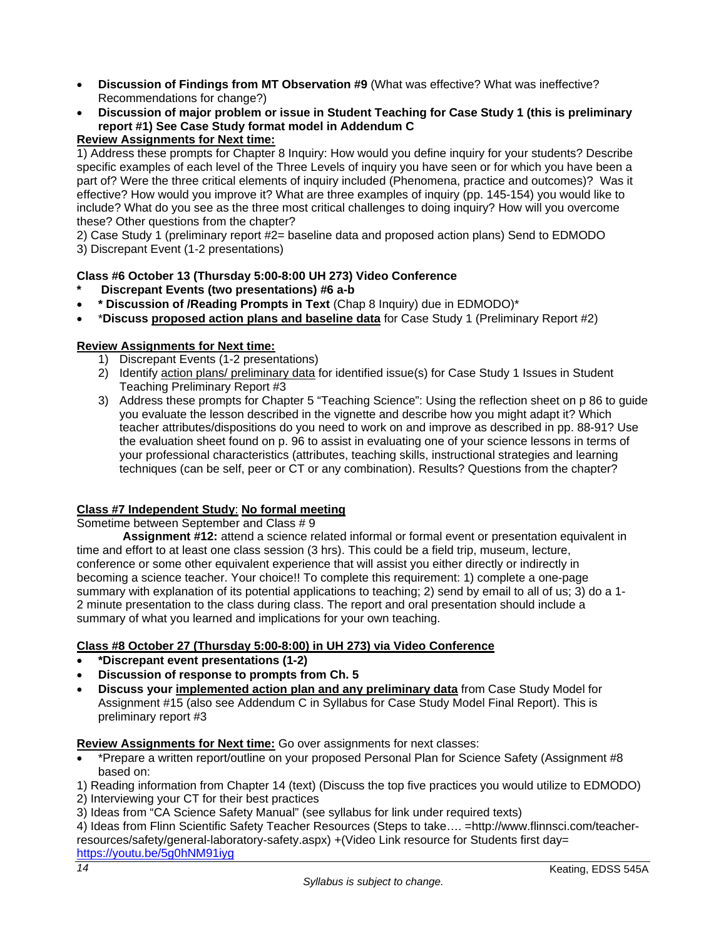- **Discussion of Findings from MT Observation #9** (What was effective? What was ineffective? Recommendations for change?)
- **Discussion of major problem or issue in Student Teaching for Case Study 1 (this is preliminary report #1) See Case Study format model in Addendum C**

# **Review Assignments for Next time:**

1) Address these prompts for Chapter 8 Inquiry: How would you define inquiry for your students? Describe specific examples of each level of the Three Levels of inquiry you have seen or for which you have been a part of? Were the three critical elements of inquiry included (Phenomena, practice and outcomes)? Was it effective? How would you improve it? What are three examples of inquiry (pp. 145-154) you would like to include? What do you see as the three most critical challenges to doing inquiry? How will you overcome these? Other questions from the chapter?

2) Case Study 1 (preliminary report #2= baseline data and proposed action plans) Send to EDMODO

3) Discrepant Event (1-2 presentations)

# **Class #6 October 13 (Thursday 5:00-8:00 UH 273) Video Conference**

- **\* Discrepant Events (two presentations) #6 a-b**
- **\* Discussion of /Reading Prompts in Text** (Chap 8 Inquiry) due in EDMODO)\*
- \***Discuss proposed action plans and baseline data** for Case Study 1 (Preliminary Report #2)

# **Review Assignments for Next time:**

- 1) Discrepant Events (1-2 presentations)
- 2) Identify action plans/ preliminary data for identified issue(s) for Case Study 1 Issues in Student Teaching Preliminary Report #3
- 3) Address these prompts for Chapter 5 "Teaching Science": Using the reflection sheet on p 86 to guide you evaluate the lesson described in the vignette and describe how you might adapt it? Which teacher attributes/dispositions do you need to work on and improve as described in pp. 88-91? Use the evaluation sheet found on p. 96 to assist in evaluating one of your science lessons in terms of your professional characteristics (attributes, teaching skills, instructional strategies and learning techniques (can be self, peer or CT or any combination). Results? Questions from the chapter?

### **Class #7 Independent Study**: **No formal meeting**

Sometime between September and Class # 9

 **Assignment #12:** attend a science related informal or formal event or presentation equivalent in time and effort to at least one class session (3 hrs). This could be a field trip, museum, lecture, conference or some other equivalent experience that will assist you either directly or indirectly in becoming a science teacher. Your choice!! To complete this requirement: 1) complete a one-page summary with explanation of its potential applications to teaching; 2) send by email to all of us; 3) do a 1- 2 minute presentation to the class during class. The report and oral presentation should include a summary of what you learned and implications for your own teaching.

# **Class #8 October 27 (Thursday 5:00-8:00) in UH 273) via Video Conference**

- **\*Discrepant event presentations (1-2)**
- **Discussion of response to prompts from Ch. 5**
- **Discuss your implemented action plan and any preliminary data** from Case Study Model for Assignment #15 (also see Addendum C in Syllabus for Case Study Model Final Report). This is preliminary report #3

**Review Assignments for Next time:** Go over assignments for next classes:

 \*Prepare a written report/outline on your proposed Personal Plan for Science Safety (Assignment #8 based on:

1) Reading information from Chapter 14 (text) (Discuss the top five practices you would utilize to EDMODO) 2) Interviewing your CT for their best practices

3) Ideas from "CA Science Safety Manual" (see syllabus for link under required texts)

4) Ideas from Flinn Scientific Safety Teacher Resources (Steps to take…. =http://www.flinnsci.com/teacherresources/safety/general-laboratory-safety.aspx) +(Video Link resource for Students first day= https://youtu.be/5g0hNM91iyg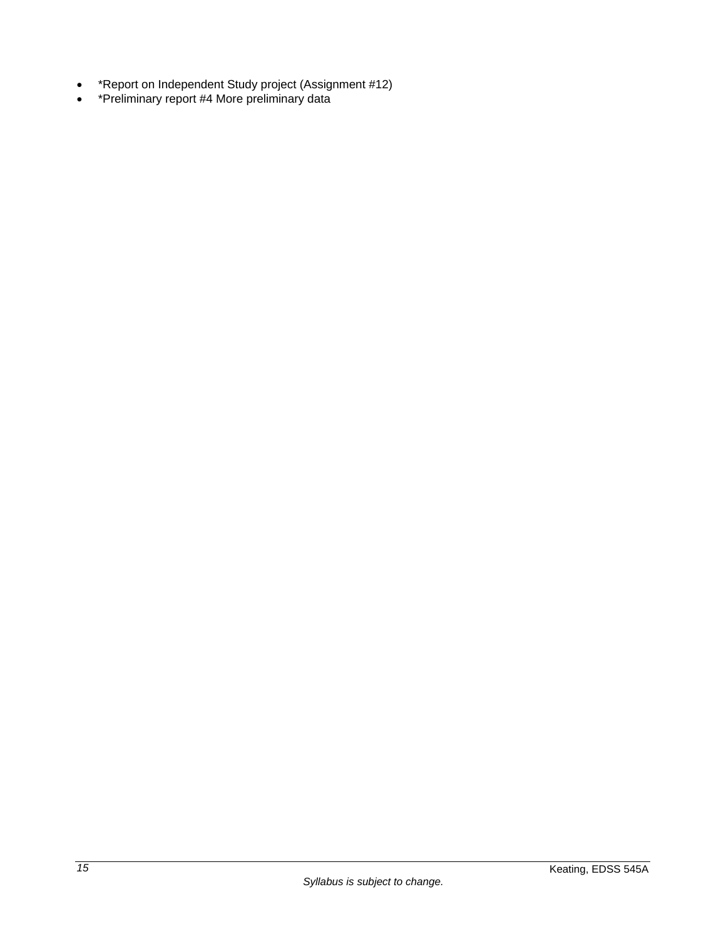- \*Report on Independent Study project (Assignment #12)
- \*Preliminary report #4 More preliminary data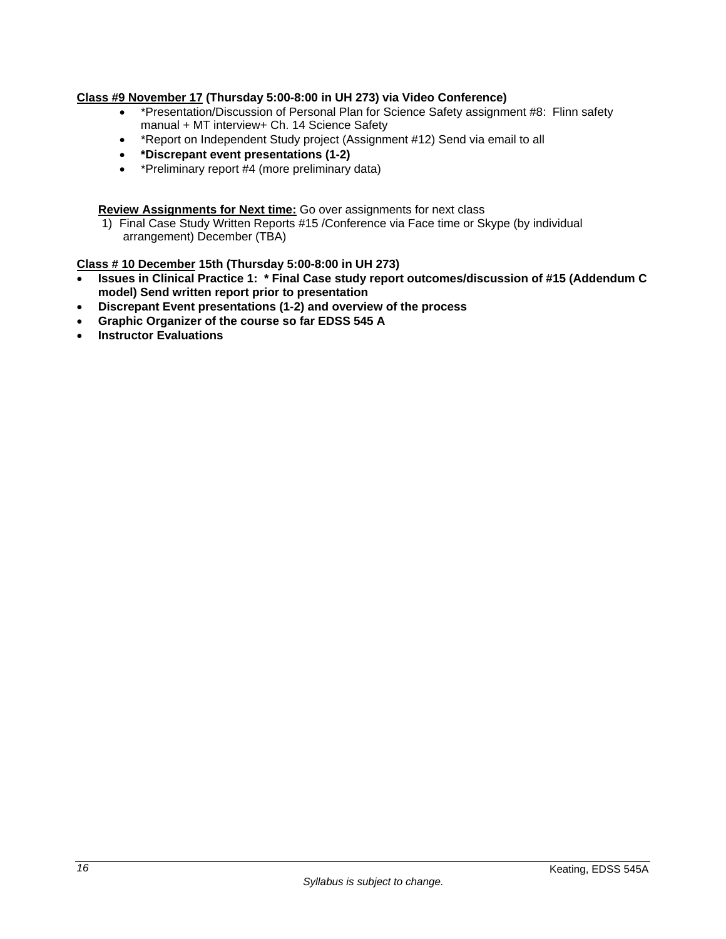## **Class #9 November 17 (Thursday 5:00-8:00 in UH 273) via Video Conference)**

- \*Presentation/Discussion of Personal Plan for Science Safety assignment #8: Flinn safety manual + MT interview+ Ch. 14 Science Safety
- \*Report on Independent Study project (Assignment #12) Send via email to all
- **\*Discrepant event presentations (1-2)**
- \*Preliminary report #4 (more preliminary data)

**Review Assignments for Next time:** Go over assignments for next class

1) Final Case Study Written Reports #15 /Conference via Face time or Skype (by individual arrangement) December (TBA)

#### **Class # 10 December 15th (Thursday 5:00-8:00 in UH 273)**

- **Issues in Clinical Practice 1: \* Final Case study report outcomes/discussion of #15 (Addendum C model) Send written report prior to presentation**
- **Discrepant Event presentations (1-2) and overview of the process**
- **Graphic Organizer of the course so far EDSS 545 A**
- **Instructor Evaluations**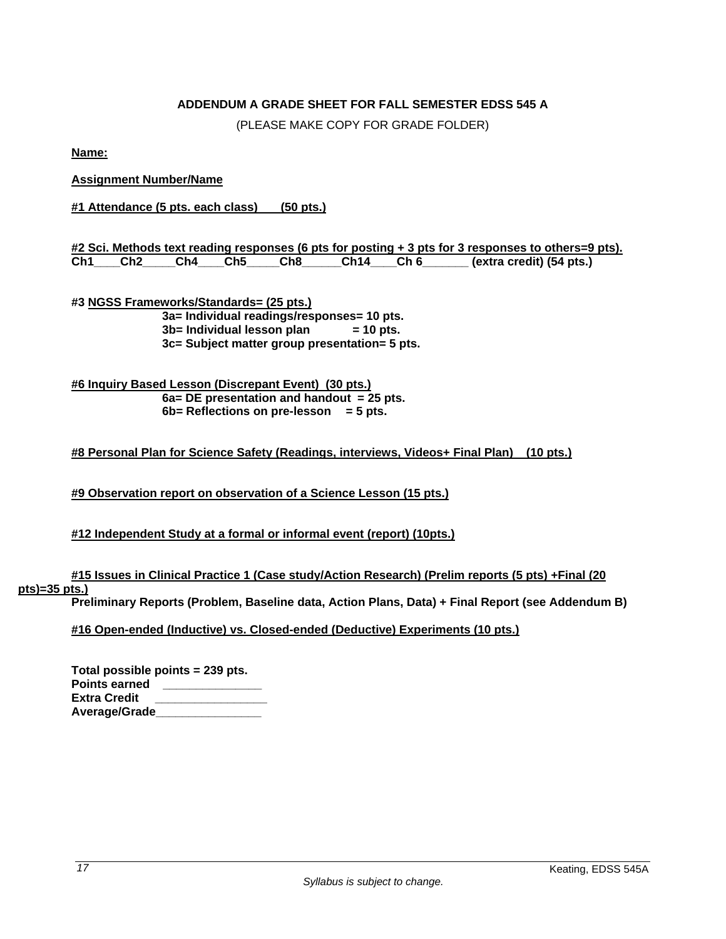# **ADDENDUM A GRADE SHEET FOR FALL SEMESTER EDSS 545 A**

(PLEASE MAKE COPY FOR GRADE FOLDER)

**Name:** 

# **Assignment Number/Name**

**#1 Attendance (5 pts. each class) (50 pts.)** 

|     |             |  |       |          | #2 Sci. Methods text reading responses (6 pts for posting + 3 pts for 3 responses to others=9 pts). |
|-----|-------------|--|-------|----------|-----------------------------------------------------------------------------------------------------|
| Ch1 | Ch2 Ch4 Ch5 |  | Ch8 C | Ch14 Ch6 |                                                                                                     |

**#3 NGSS Frameworks/Standards= (25 pts.) 3a= Individual readings/responses= 10 pts. 3b= Individual lesson plan = 10 pts. 3c= Subject matter group presentation= 5 pts.** 

**#6 Inquiry Based Lesson (Discrepant Event) (30 pts.) 6a= DE presentation and handout = 25 pts. 6b= Reflections on pre-lesson = 5 pts.** 

#### **#8 Personal Plan for Science Safety (Readings, interviews, Videos+ Final Plan) (10 pts.)**

**#9 Observation report on observation of a Science Lesson (15 pts.)** 

#### **#12 Independent Study at a formal or informal event (report) (10pts.)**

**#15 Issues in Clinical Practice 1 (Case study/Action Research) (Prelim reports (5 pts) +Final (20** 

## **pts)=35 pts.)**

**Preliminary Reports (Problem, Baseline data, Action Plans, Data) + Final Report (see Addendum B)** 

**#16 Open-ended (Inductive) vs. Closed-ended (Deductive) Experiments (10 pts.)** 

| Total possible points = 239 pts. |  |
|----------------------------------|--|
| Points earned                    |  |
| Extra Credit                     |  |
| Average/Grade                    |  |